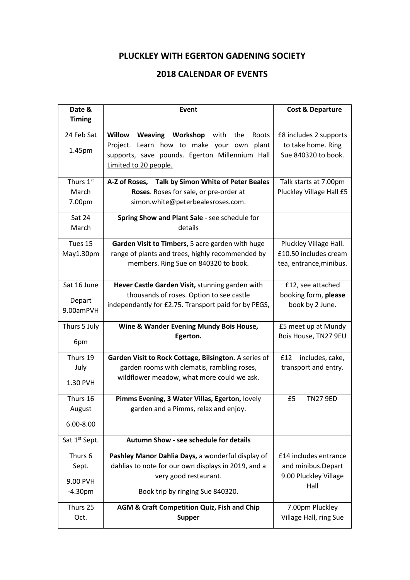## **PLUCKLEY WITH EGERTON GADENING SOCIETY**

## **2018 CALENDAR OF EVENTS**

| Date &                    | <b>Event</b>                                          | <b>Cost &amp; Departure</b> |
|---------------------------|-------------------------------------------------------|-----------------------------|
| <b>Timing</b>             |                                                       |                             |
| 24 Feb Sat                | Weaving Workshop with the<br>Willow<br>Roots          | £8 includes 2 supports      |
|                           | Project. Learn how to make your own<br>plant          | to take home. Ring          |
| 1.45pm                    | supports, save pounds. Egerton Millennium Hall        | Sue 840320 to book.         |
|                           | Limited to 20 people.                                 |                             |
| Thurs 1st                 | A-Z of Roses, Talk by Simon White of Peter Beales     | Talk starts at 7.00pm       |
| March                     | Roses. Roses for sale, or pre-order at                | Pluckley Village Hall £5    |
| 7.00pm                    | simon.white@peterbealesroses.com.                     |                             |
| Sat 24                    | Spring Show and Plant Sale - see schedule for         |                             |
| March                     | details                                               |                             |
| Tues 15                   | Garden Visit to Timbers, 5 acre garden with huge      | Pluckley Village Hall.      |
| May1.30pm                 | range of plants and trees, highly recommended by      | £10.50 includes cream       |
|                           | members. Ring Sue on 840320 to book.                  | tea, entrance, minibus.     |
| Sat 16 June               | Hever Castle Garden Visit, stunning garden with       | £12, see attached           |
|                           | thousands of roses. Option to see castle              | booking form, please        |
| Depart<br>9.00amPVH       | independantly for £2.75. Transport paid for by PEGS,  | book by 2 June.             |
| Thurs 5 July              | Wine & Wander Evening Mundy Bois House,               | £5 meet up at Mundy         |
| 6pm                       | Egerton.                                              | Bois House, TN27 9EU        |
| Thurs 19                  | Garden Visit to Rock Cottage, Bilsington. A series of | £12<br>includes, cake,      |
| July                      | garden rooms with clematis, rambling roses,           | transport and entry.        |
| 1.30 PVH                  | wildflower meadow, what more could we ask.            |                             |
| Thurs 16                  | Pimms Evening, 3 Water Villas, Egerton, lovely        | £5<br><b>TN27 9ED</b>       |
| August                    | garden and a Pimms, relax and enjoy.                  |                             |
| $6.00 - 8.00$             |                                                       |                             |
| Sat 1 <sup>st</sup> Sept. | <b>Autumn Show - see schedule for details</b>         |                             |
| Thurs 6                   | Pashley Manor Dahlia Days, a wonderful display of     | £14 includes entrance       |
| Sept.                     | dahlias to note for our own displays in 2019, and a   | and minibus.Depart          |
| 9.00 PVH                  | very good restaurant.                                 | 9.00 Pluckley Village       |
| $-4.30pm$                 | Book trip by ringing Sue 840320.                      | Hall                        |
| Thurs 25                  | AGM & Craft Competition Quiz, Fish and Chip           | 7.00pm Pluckley             |
| Oct.                      | <b>Supper</b>                                         | Village Hall, ring Sue      |